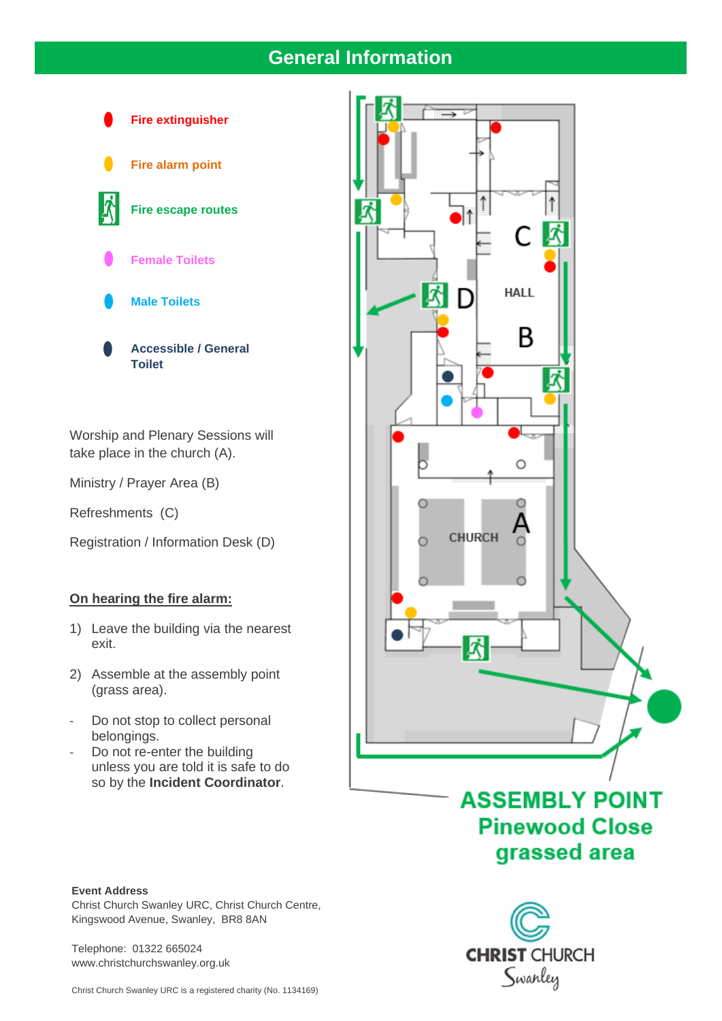## **General Information**



Worship and Plenary Sessions will take place in the church (A).

Ministry / Prayer Area (B)

Refreshments (C)

Registration / Information Desk (D)

#### **On hearing the fire alarm:**

- 1) Leave the building via the nearest exit.
- 2) Assemble at the assembly point (grass area).
- Do not stop to collect personal belongings.
- Do not re-enter the building unless you are told it is safe to do so by the **Incident Coordinator**.



Christ Church Swanley URC, Christ Church Centre, Kingswood Avenue, Swanley, BR8 8AN

Telephone: 01322 665024 www.christchurchswanley.org.uk



## **ASSEMBLY POINT Pinewood Close** grassed area

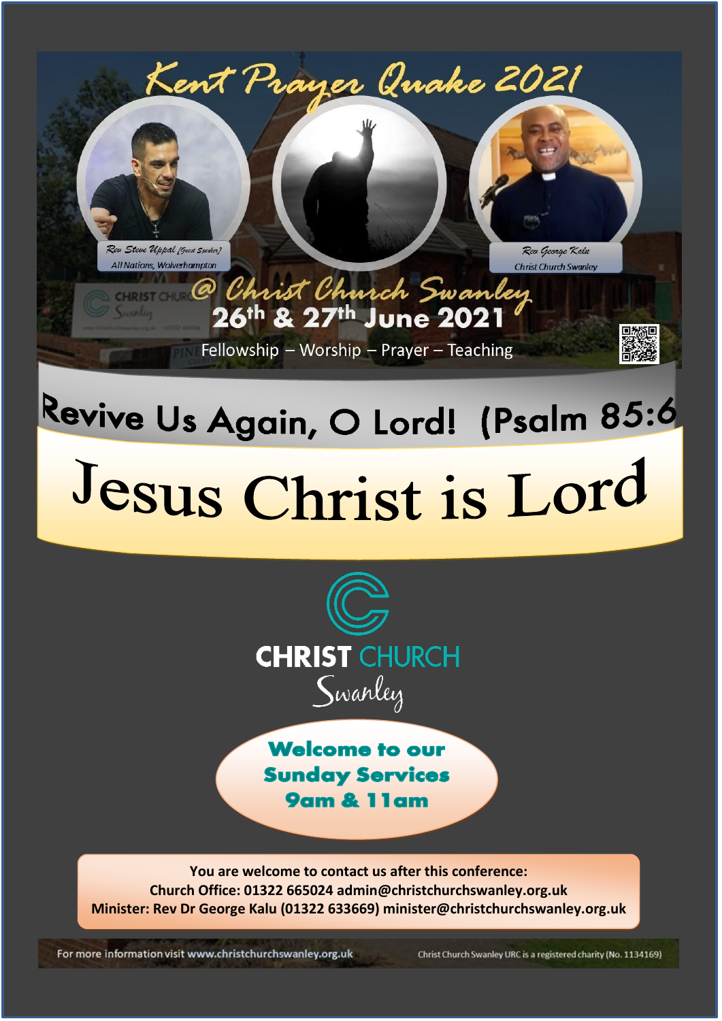

# Jesus Christ is Lord



**Welcome to our Sunday Services 9am & 11am** 

You are welcome to contact us after this conference: Church Office: 01322 665024 admin@christchurchswanley.org.uk Minister: Rev Dr George Kalu (01322 633669) minister@christchurchswanley.org.uk

For more information visit www.christchurchswanley.org.uk

Christ Church Swanley URC is a registered charity (No. 1134169)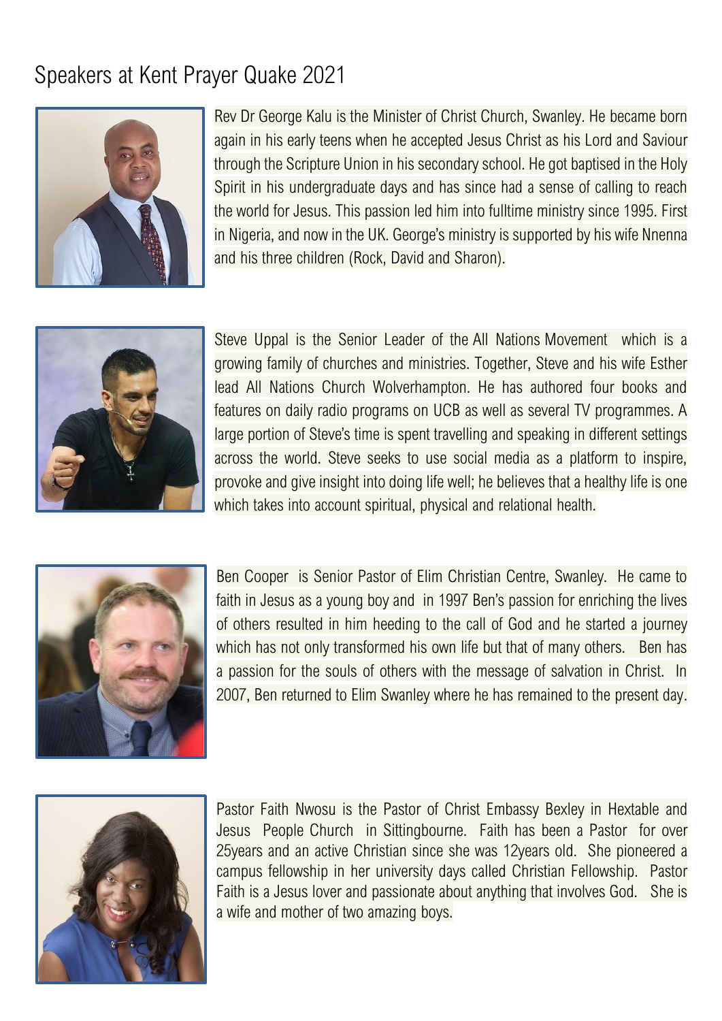## Speakers at Kent Prayer Quake 2021



Rev Dr George Kalu is the Minister of Christ Church, Swanley. He became born again in his early teens when he accepted Jesus Christ as his Lord and Saviour through the Scripture Union in his secondary school. He got baptised in the Holy Spirit in his undergraduate days and has since had a sense of calling to reach the world for Jesus. This passion led him into fulltime ministry since 1995. First in Nigeria, and now in the UK. George's ministry is supported by his wife Nnenna and his three children (Rock, David and Sharon).



Steve Uppal is the Senior Leader of the [All Nations](http://allnations.org.uk/) Movement which is a growing family of churches and ministries. Together, Steve and his wife Esther lead All Nations Church Wolverhampton. He has authored four books and features on daily radio programs on UCB as well as several TV programmes. A large portion of Steve's time is spent travelling and speaking in different settings across the world. Steve seeks to use social media as a platform to inspire, provoke and give insight into doing life well; he believes that a healthy life is one which takes into account spiritual, physical and relational health.



Ben Cooper is Senior Pastor of Elim Christian Centre, Swanley. He came to faith in Jesus as a young boy and in 1997 Ben's passion for enriching the lives of others resulted in him heeding to the call of God and he started a journey which has not only transformed his own life but that of many others. Ben has a passion for the souls of others with the message of salvation in Christ. In 2007, Ben returned to Elim Swanley where he has remained to the present day.



Pastor Faith Nwosu is the Pastor of Christ Embassy Bexley in Hextable and Jesus People Church in Sittingbourne. Faith has been a Pastor for over 25years and an active Christian since she was 12years old. She pioneered a campus fellowship in her university days called Christian Fellowship. Pastor Faith is a Jesus lover and passionate about anything that involves God. She is a wife and mother of two amazing boys.